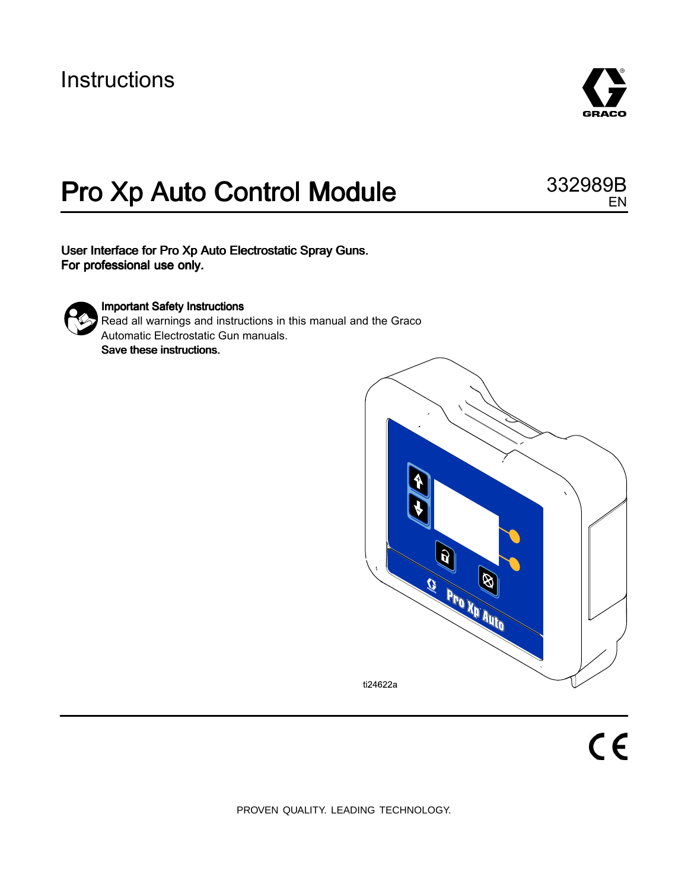## **Instructions**



EN

# Pro Xp Auto Control Module 332989B

User Interface for Pro Xp Auto Electrostatic Spray Guns. For professional use only.



#### **Important Safety Instructions**

Read all warnings and instructions in this manual and the Graco Automatic Electrostatic Gun manuals. Save these instructions.



PROVEN QUALITY. LEADING TECHNOLOGY.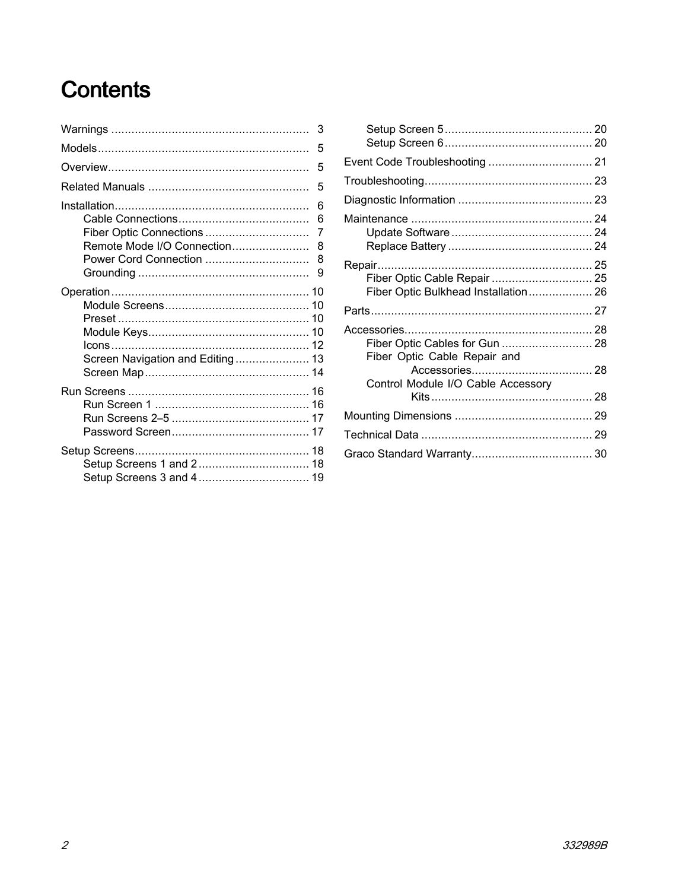# **Contents**

|                                  | 5 |
|----------------------------------|---|
| Remote Mode I/O Connection 8     | 6 |
| Screen Navigation and Editing 13 |   |
|                                  |   |
|                                  |   |

| Fiber Optic Cable Repair  25<br>Fiber Optic Bulkhead Installation 26 |  |
|----------------------------------------------------------------------|--|
|                                                                      |  |
| Fiber Optic Cables for Gun  28<br>Fiber Optic Cable Repair and       |  |
| Control Module I/O Cable Accessory                                   |  |
|                                                                      |  |
|                                                                      |  |
|                                                                      |  |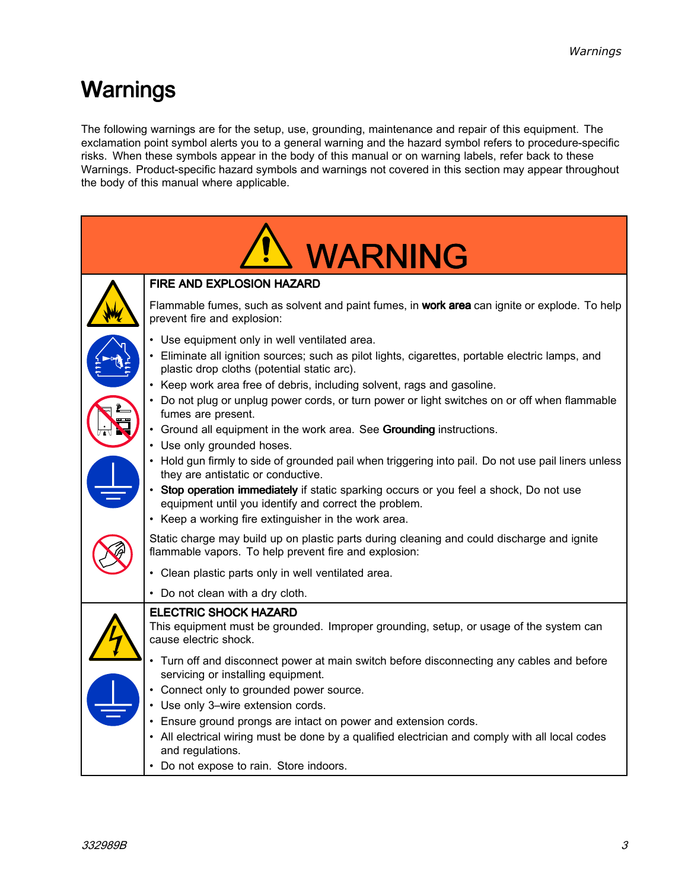## <span id="page-2-0"></span>Warnings

The following warnings are for the setup, use, grounding, maintenance and repair of this equipment. The exclamation point symbol alerts you to <sup>a</sup> general warning and the hazard symbol refers to procedure-specific risks. When these symbols appear in the body of this manual or on warning labels, refer back to these Warnings. Product-specific hazard symbols and warnings not covered in this section may appear throughout the body of this manual where applicable.

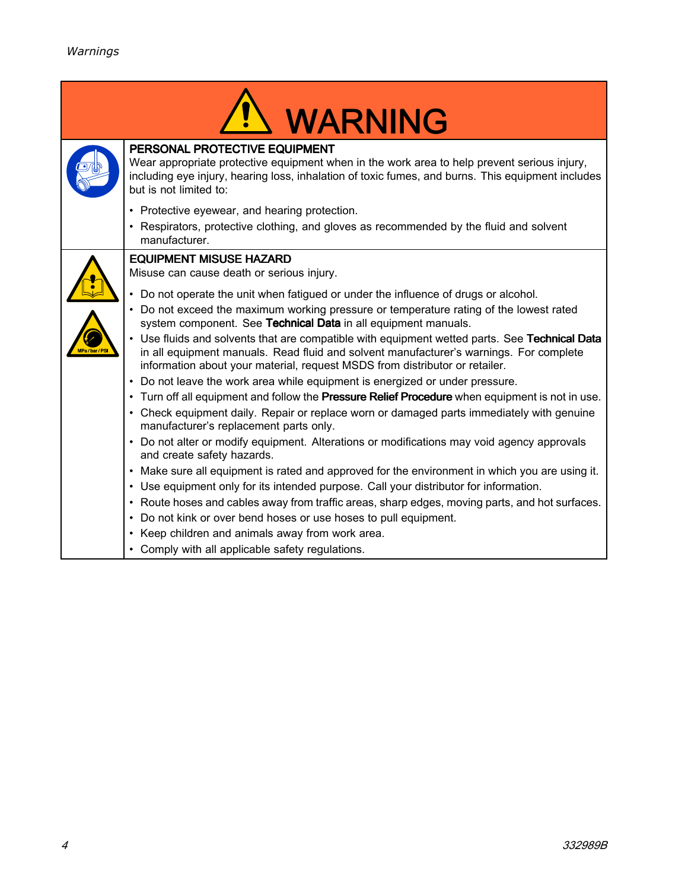| <b>WARNING</b>                                                                                                                                                                                                                                                       |
|----------------------------------------------------------------------------------------------------------------------------------------------------------------------------------------------------------------------------------------------------------------------|
| PERSONAL PROTECTIVE EQUIPMENT<br>Wear appropriate protective equipment when in the work area to help prevent serious injury,<br>including eye injury, hearing loss, inhalation of toxic fumes, and burns. This equipment includes<br>but is not limited to:          |
| • Protective eyewear, and hearing protection.                                                                                                                                                                                                                        |
| Respirators, protective clothing, and gloves as recommended by the fluid and solvent<br>manufacturer.                                                                                                                                                                |
| <b>EQUIPMENT MISUSE HAZARD</b>                                                                                                                                                                                                                                       |
| Misuse can cause death or serious injury.                                                                                                                                                                                                                            |
| Do not operate the unit when fatigued or under the influence of drugs or alcohol.                                                                                                                                                                                    |
| Do not exceed the maximum working pressure or temperature rating of the lowest rated<br>system component. See Technical Data in all equipment manuals.                                                                                                               |
| Use fluids and solvents that are compatible with equipment wetted parts. See Technical Data<br>in all equipment manuals. Read fluid and solvent manufacturer's warnings. For complete<br>information about your material, request MSDS from distributor or retailer. |
| Do not leave the work area while equipment is energized or under pressure.<br>$\bullet$                                                                                                                                                                              |
| . Turn off all equipment and follow the Pressure Relief Procedure when equipment is not in use.                                                                                                                                                                      |
| • Check equipment daily. Repair or replace worn or damaged parts immediately with genuine<br>manufacturer's replacement parts only.                                                                                                                                  |
| Do not alter or modify equipment. Alterations or modifications may void agency approvals<br>$\bullet$<br>and create safety hazards.                                                                                                                                  |
| Make sure all equipment is rated and approved for the environment in which you are using it.<br>$\bullet$                                                                                                                                                            |
| • Use equipment only for its intended purpose. Call your distributor for information.                                                                                                                                                                                |
| • Route hoses and cables away from traffic areas, sharp edges, moving parts, and hot surfaces.                                                                                                                                                                       |
| Do not kink or over bend hoses or use hoses to pull equipment.                                                                                                                                                                                                       |
| Keep children and animals away from work area.                                                                                                                                                                                                                       |
| Comply with all applicable safety regulations.                                                                                                                                                                                                                       |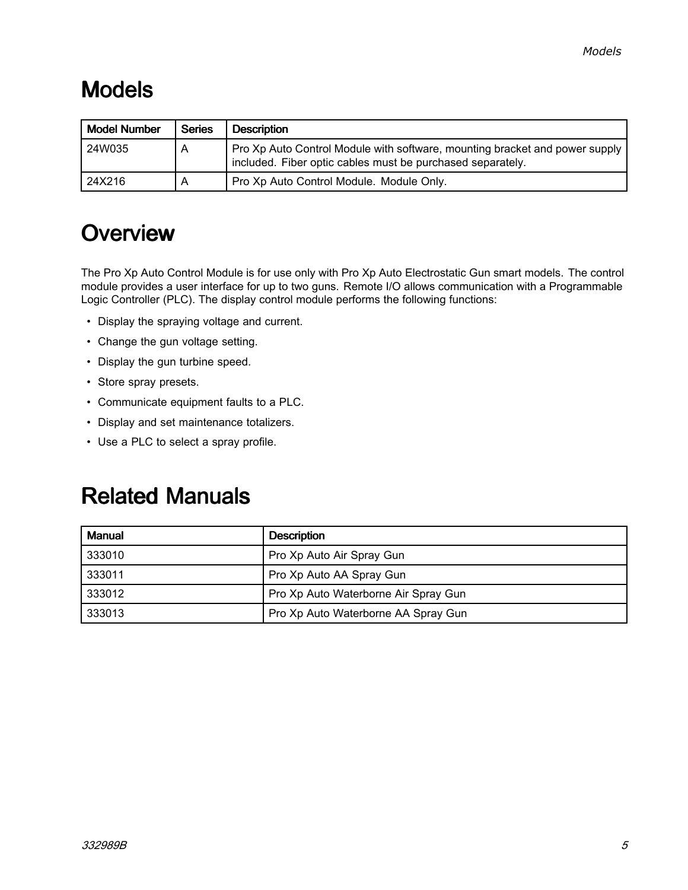## <span id="page-4-0"></span>Models

| <b>Model Number</b> | <b>Series</b> | <b>Description</b>                                                                                                                        |
|---------------------|---------------|-------------------------------------------------------------------------------------------------------------------------------------------|
| 24W035              | А             | Pro Xp Auto Control Module with software, mounting bracket and power supply<br>included. Fiber optic cables must be purchased separately. |
| 24X216              |               | Pro Xp Auto Control Module. Module Only.                                                                                                  |

### **Overview**

The Pro Xp Auto Control Module is for use only with Pro Xp Auto Electrostatic Gun smart models. The control module provides <sup>a</sup> user interface for up to two guns. Remote I/O allows communication with <sup>a</sup> Programmable Logic Controller (PLC). The display control module performs the following functions:

- Display the spraying voltage and current.
- Change the gun voltage setting.
- Display the gun turbine speed.
- Store spray presets.
- Communicate equipment faults to <sup>a</sup> PLC.
- Display and set maintenance totalizers.
- Use <sup>a</sup> PLC to select <sup>a</sup> spray profile.

## **Related Manuals**

| <b>Manual</b> | <b>Description</b>                   |
|---------------|--------------------------------------|
| 333010        | Pro Xp Auto Air Spray Gun            |
| 333011        | Pro Xp Auto AA Spray Gun             |
| 333012        | Pro Xp Auto Waterborne Air Spray Gun |
| 333013        | Pro Xp Auto Waterborne AA Spray Gun  |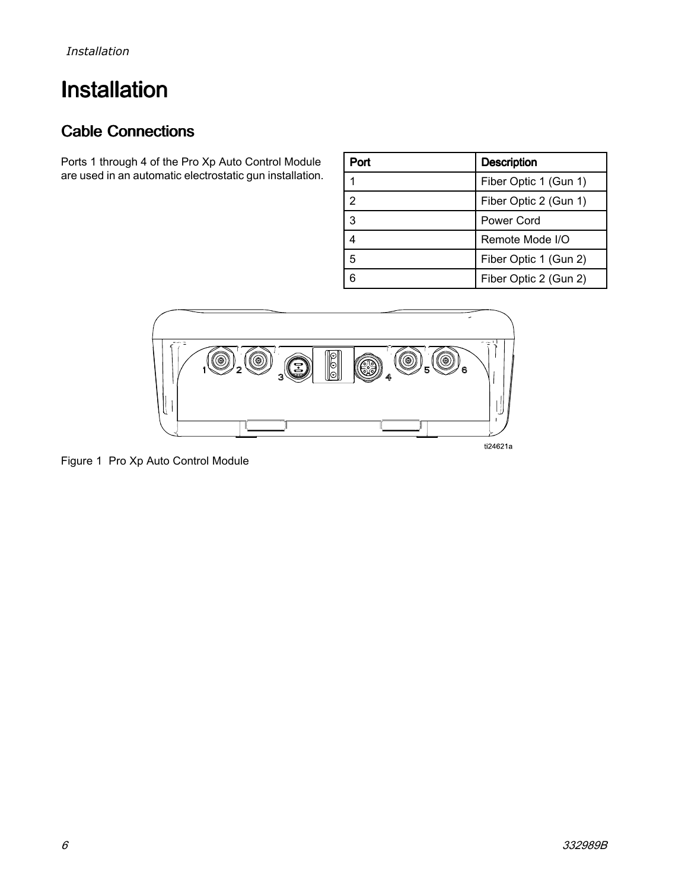## <span id="page-5-0"></span>**Installation**

### **Cable Connections**

Ports <sup>1</sup> through <sup>4</sup> of the Pro Xp Auto Control Module are used in an automatic electrostatic gun installation.

| Port | <b>Description</b>    |
|------|-----------------------|
|      | Fiber Optic 1 (Gun 1) |
| 2    | Fiber Optic 2 (Gun 1) |
| 3    | Power Cord            |
|      | Remote Mode I/O       |
| 5    | Fiber Optic 1 (Gun 2) |
|      | Fiber Optic 2 (Gun 2) |



Figure <sup>1</sup> Pro Xp Auto Control Module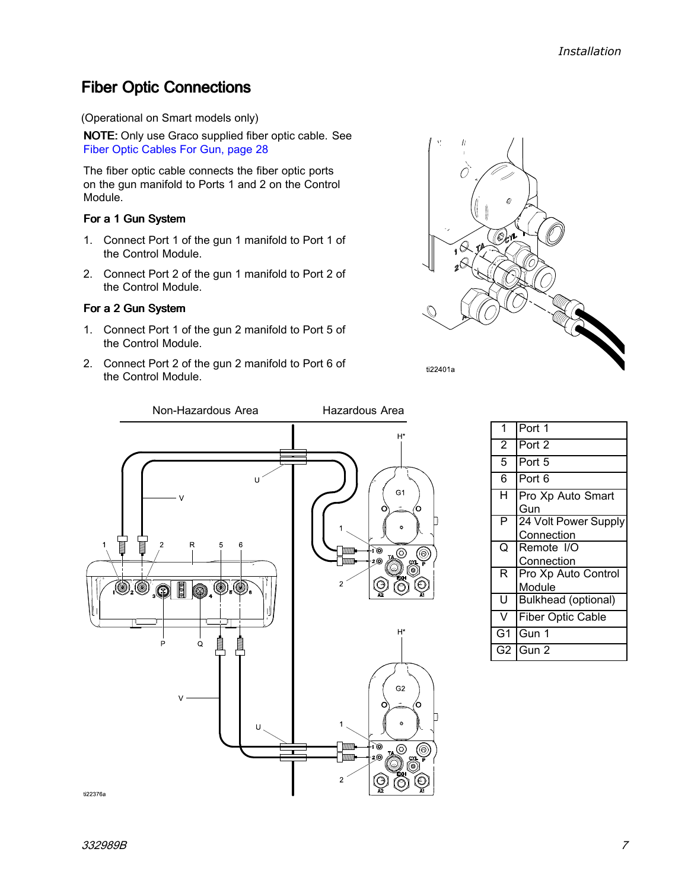### <span id="page-6-0"></span>**Fiber Optic Connections**

(Operational on Smart models only)

NOTE: Only use Graco supplied fiber optic cable. See Fiber Optic [Cables](#page-27-0) For Gun, page [28](#page-27-0)

The fiber optic cable connects the fiber optic ports on the gun manifold to Ports <sup>1</sup> and <sup>2</sup> on the Control Module.

#### For <sup>a</sup> 1 Gun System

- 1. Connect Port <sup>1</sup> of the gun <sup>1</sup> manifold to Port <sup>1</sup> of the Control Module.
- 2. Connect Port <sup>2</sup> of the gun <sup>1</sup> manifold to Port <sup>2</sup> of the Control Module.

#### For <sup>a</sup> 2 Gun System

- 1. Connect Port <sup>1</sup> of the gun <sup>2</sup> manifold to Port <sup>5</sup> of the Control Module.
- 2. Connect Port <sup>2</sup> of the gun <sup>2</sup> manifold to Port <sup>6</sup> of the Control Module.





| 1                  | Port 1                             |
|--------------------|------------------------------------|
| $\overline{2}$     | Port 2                             |
| $\overline{5}$     | Port 5                             |
| $\overline{6}$     | Port 6                             |
| $\overline{\sf H}$ | Pro Xp Auto Smart<br>Gun           |
| P                  | 24 Volt Power Supply<br>Connection |
| O                  | Remote I/O<br>Connection           |
| R.                 | Pro Xp Auto Control<br>Module      |
| U                  | Bulkhead (optional)                |
| V                  | <b>Fiber Optic Cable</b>           |
| G1                 | Gun 1                              |
| G2                 | Gun 2                              |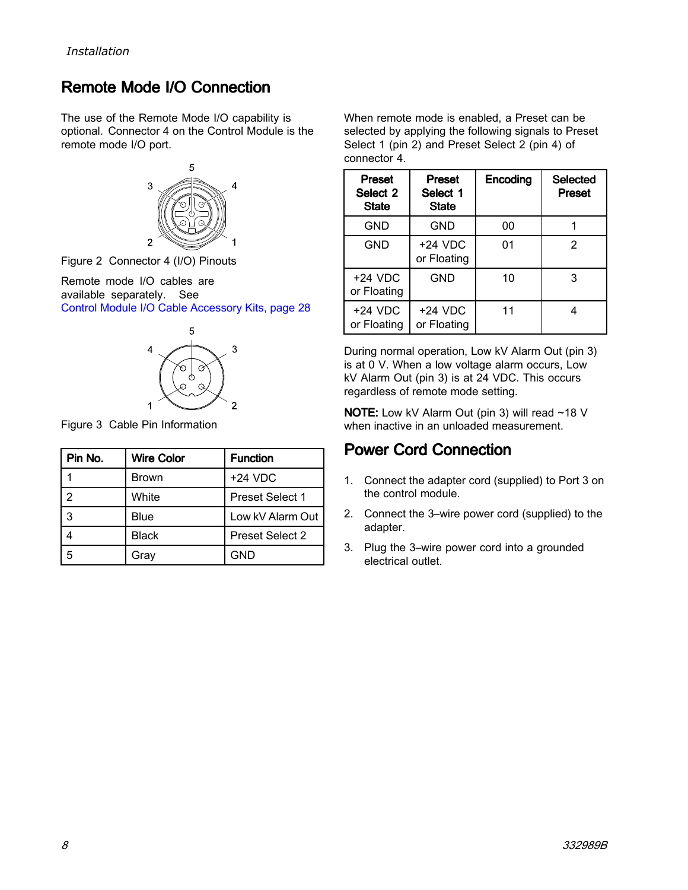### <span id="page-7-0"></span>**Remote Mode I/O Connection**

The use of the Remote Mode I/O capability is optional. Connector <sup>4</sup> on the Control Module is the remote mode I/O port.



Figure <sup>2</sup> Connector <sup>4</sup> (I/O) Pinouts

Remote mode I/O cables are available separately. See Control Module I/O Cable [Accessory](#page-27-0) Kits, page [28](#page-27-0)



Figure <sup>3</sup> Cable Pin Information

| Pin No. | <b>Wire Color</b> | <b>Function</b>        |
|---------|-------------------|------------------------|
|         | Brown             | $+24$ VDC              |
| 2       | White             | <b>Preset Select 1</b> |
| 3       | Blue              | Low kV Alarm Out       |
|         | <b>Black</b>      | <b>Preset Select 2</b> |
| 5       | Gray              | GND                    |

When remote mode is enabled, <sup>a</sup> Preset can be selected by applying the following signals to Preset Select <sup>1</sup> (pin 2) and Preset Select <sup>2</sup> (pin 4) of connector 4.

| <b>Preset</b><br>Select 2<br><b>State</b> | <b>Preset</b><br>Select 1<br><b>State</b> | Encoding | <b>Selected</b><br><b>Preset</b> |
|-------------------------------------------|-------------------------------------------|----------|----------------------------------|
| GND                                       | GND                                       | 00       |                                  |
| GND                                       | $+24$ VDC<br>or Floating                  | 01       | 2                                |
| $+24$ VDC<br>or Floating                  | GND                                       | 10       | 3                                |
| $+24$ VDC<br>or Floating                  | $+24$ VDC<br>or Floating                  | 11       |                                  |

During normal operation, Low kV Alarm Out (pin 3) is at <sup>0</sup> V. When <sup>a</sup> low voltage alarm occurs, Low kV Alarm Out (pin 3) is at <sup>24</sup> VDC. This occurs regardless of remote mode setting.

NOTE: Low kV Alarm Out (pin 3) will read ~18 <sup>V</sup> when inactive in an unloaded measurement.

#### **Power Cord Connection**

- 1. Connect the adapter cord (supplied) to Port <sup>3</sup> on the control module.
- 2. Connect the 3–wire power cord (supplied) to the adapter.
- 3. Plug the 3–wire power cord into <sup>a</sup> grounded electrical outlet.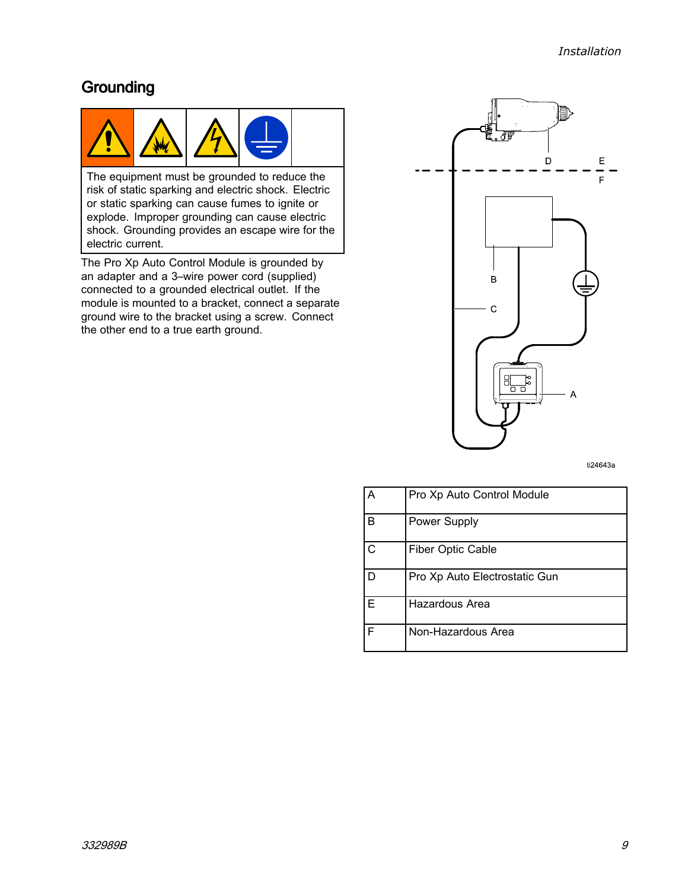#### <span id="page-8-0"></span>Grounding



The equipment must be grounded to reduce the risk of static sparking and electric shock. Electric or static sparking can cause fumes to ignite or explode. Improper grounding can cause electric shock. Grounding provides an escape wire for the electric current.

The Pro Xp Auto Control Module is grounded by an adapter and <sup>a</sup> 3–wire power cord (supplied) connected to <sup>a</sup> grounded electrical outlet. If the module is mounted to <sup>a</sup> bracket, connect <sup>a</sup> separate ground wire to the bracket using <sup>a</sup> screw. Connect the other end to <sup>a</sup> true earth ground.



ti24643a

| А | Pro Xp Auto Control Module    |
|---|-------------------------------|
| B | Power Supply                  |
| C | <b>Fiber Optic Cable</b>      |
|   | Pro Xp Auto Electrostatic Gun |
| F | Hazardous Area                |
| F | Non-Hazardous Area            |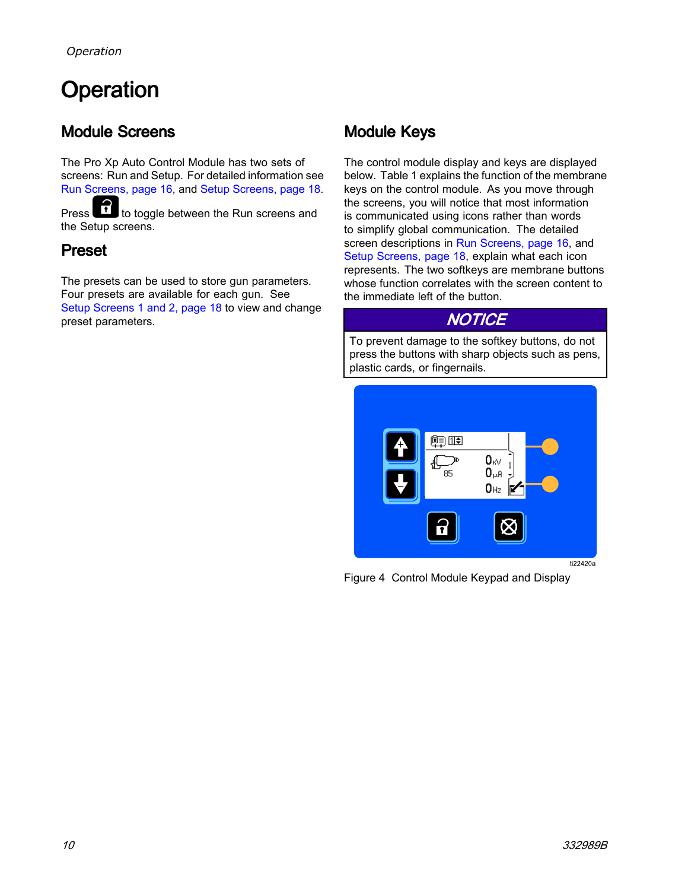# <span id="page-9-0"></span>Operation

### **Module Screens**

The Pro Xp Auto Control Module has two sets of screens: Run and Setup. For detailed information see Run [Screens,](#page-17-0) page [16](#page-15-0), and Setup Screens, page [18](#page-17-0).<br>Press. This to tools between the Bun screens and

Press to toggle between the Run screens and the Setup screens.

#### Preset

The presets can be used to store gun parameters. Four presets are available for each gun. See Setup [Screens](#page-17-0) <sup>1</sup> and 2, page [18](#page-17-0) to view and change preset parameters.

### Module Keys

The control module display and keys are displayed below. Table <sup>1</sup> explains the function of the membrane keys on the control module. As you move through the screens, you will notice that most information is communicated using icons rather than words to simplify global communication. The detailed screen descriptions in Run [Screens,](#page-15-0) page [16](#page-15-0), and Setup [Screens,](#page-17-0) page [18](#page-17-0), explain what each icon represents. The two softkeys are membrane buttons whose function correlates with the screen content to the immediate left of the button.

#### **NOTICE**

To prevent damage to the softkey buttons, do not press the buttons with sharp objects such as pens, plastic cards, or fingernails.



Figure <sup>4</sup> Control Module Keypad and Display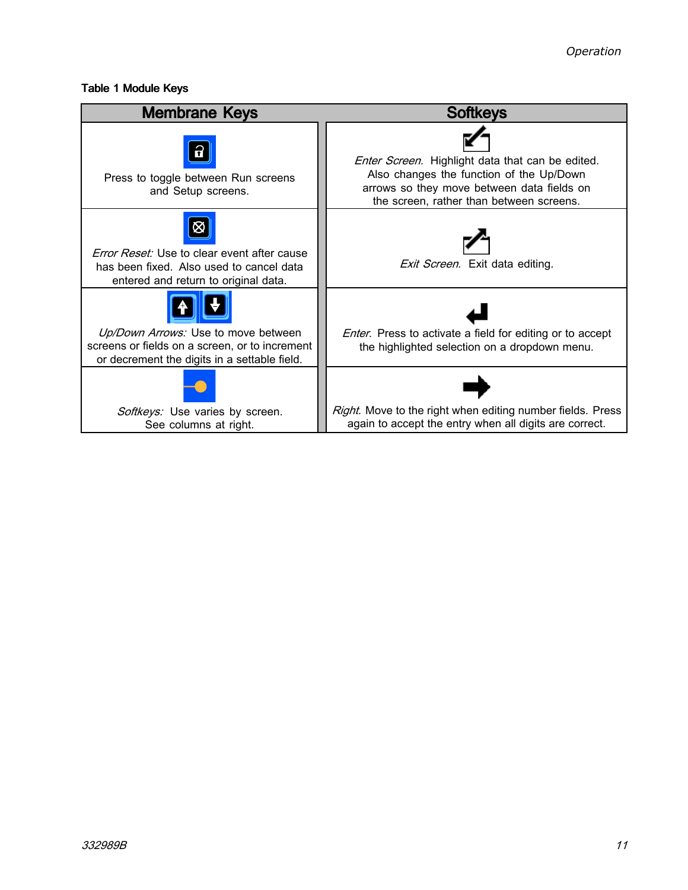#### Table 1 Module Keys

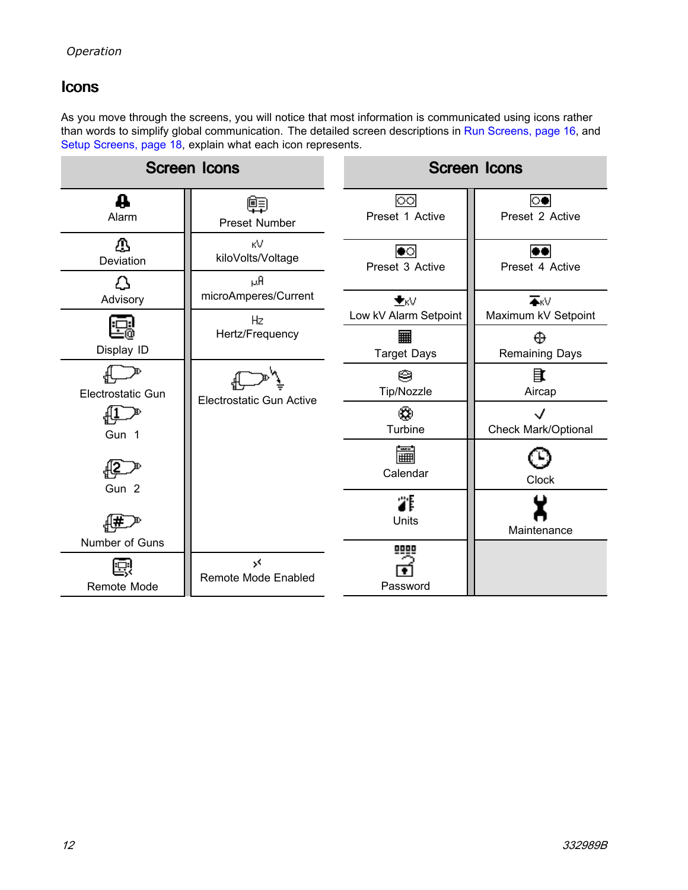#### <span id="page-11-0"></span>**Icons**

As you move through the screens, you will notice that most information is communicated using icons rather than words to simplify global communication. The detailed screen descriptions in Run [Screens,](#page-15-0) page [16](#page-15-0), and Setup [Screens,](#page-17-0) page [18](#page-17-0), explain what each icon represents.

|                               | <b>Screen Icons</b>             |                                    | <b>Screen Icons</b>                            |
|-------------------------------|---------------------------------|------------------------------------|------------------------------------------------|
| ₩<br>Alarm                    | 晅<br>Preset Number              | $\circ$<br>Preset 1 Active         | $\circ$<br>Preset 2 Active                     |
| ⚠<br>Deviation                | кV<br>kiloVolts/Voltage<br>μA   | $\bullet \circ$<br>Preset 3 Active | Preset 4 Active                                |
| Д<br>Advisory                 | microAmperes/Current<br>Hz      | $\pm$ KV<br>Low kV Alarm Setpoint  | $\overline{\bullet}$ KV<br>Maximum kV Setpoint |
| Display ID                    | Hertz/Frequency                 | 翩<br><b>Target Days</b>            | ⊕<br>Remaining Days                            |
| Electrostatic Gun             | <b>Electrostatic Gun Active</b> | ⊜<br>Tip/Nozzle                    | 目<br>Aircap                                    |
| Gun 1                         |                                 | ∞<br>Turbine                       | <b>Check Mark/Optional</b>                     |
| Gun 2                         |                                 | 篇<br>Calendar                      | Clock                                          |
|                               |                                 | 罪<br>Units                         | Maintenance                                    |
| Number of Guns<br>Remote Mode | ><<br>Remote Mode Enabled       | 0000<br>Password                   |                                                |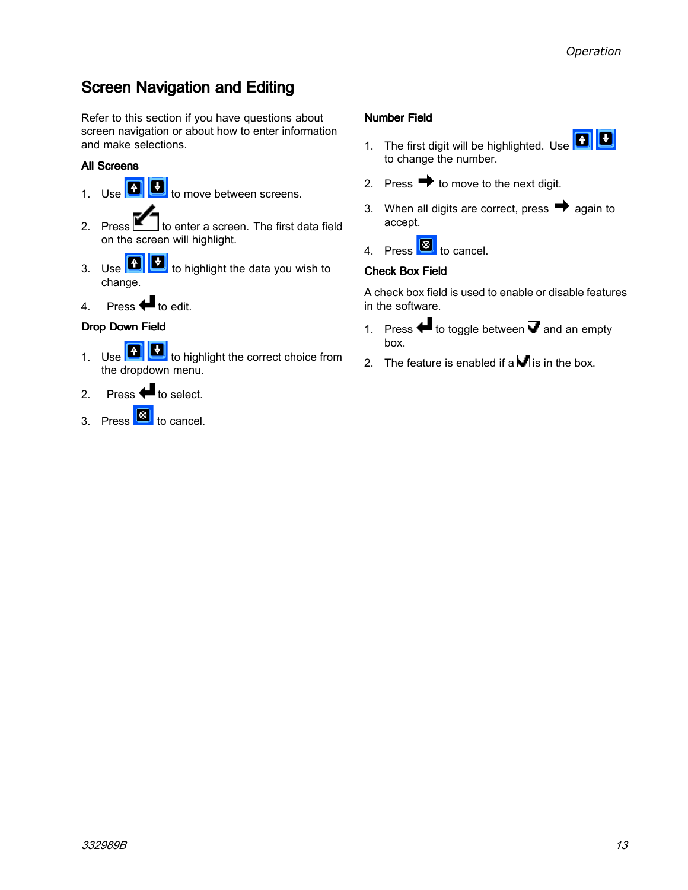### <span id="page-12-0"></span>**Screen Navigation and Editing**

Refer to this section if you have questions about screen navigation or about how to enter information and make selections.

#### All Screens

- 1. Use  $\boxed{4}$  to move between screens.
- 2. Press  $\blacksquare$  to enter a screen. The first data field on the screen will highlight.
- 3. Use  $\boxed{4}$  to highlight the data you wish to change.
- 4. Press  $\bigoplus$  to edit.

#### Drop Down Field

- 1. Use **1 U** to highlight the correct choice from the dropdown menu.
- 2. Press  $\bigoplus$  to select.
- 3. Press **3** to cancel.

#### Number Field

- 1. The first digit will be highlighted. Use  $\boxed{1}$ to change the number.
- 2. Press  $\rightarrow$  to move to the next digit.
- 3. When all digits are correct, press  $\rightarrow$  again to accept.
- 4. Press **1** to cancel.

#### Check Box Field

<sup>A</sup> check box field is used to enable or disable features in the software.

- 1. Press  $\blacklozenge$  to toggle between  $\blacksquare$  and an empty box.
- 2. The feature is enabled if a  $\blacksquare$  is in the box.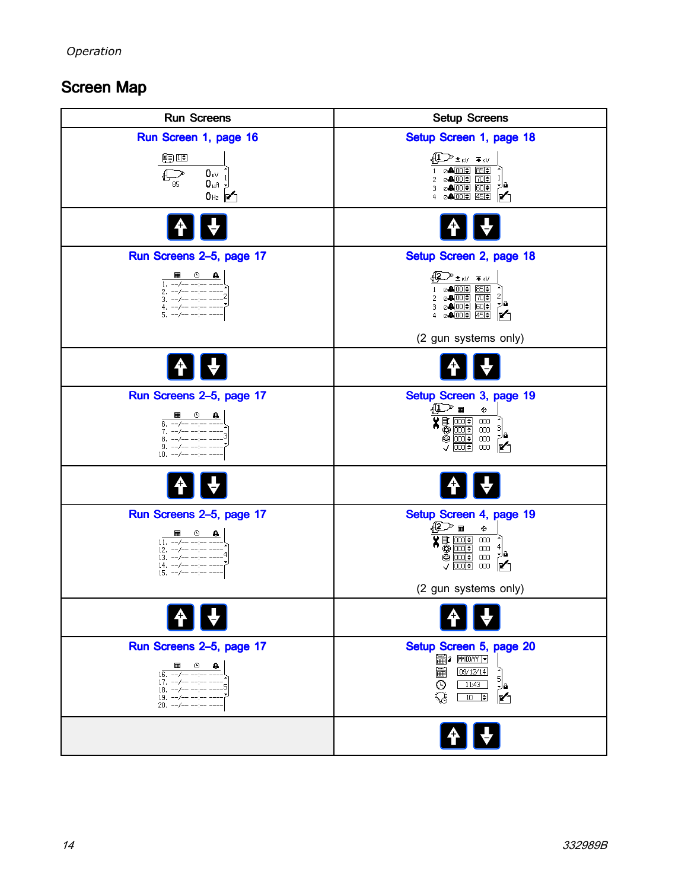### <span id="page-13-0"></span>Screen Map

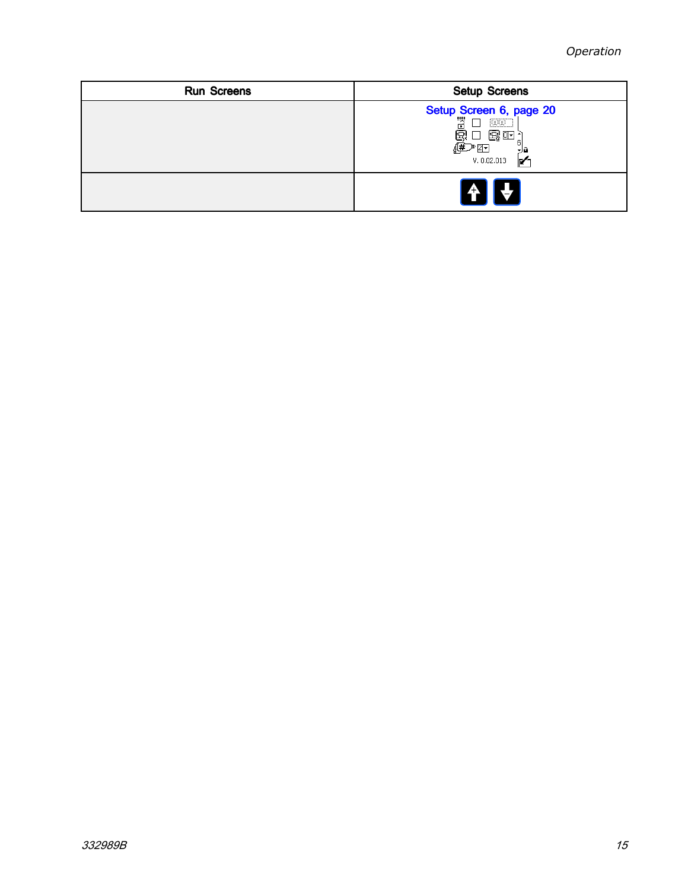| <b>Run Screens</b> | <b>Setup Screens</b>                                                                                                                         |
|--------------------|----------------------------------------------------------------------------------------------------------------------------------------------|
|                    | Setup Screen 6, page 20<br>$\begin{bmatrix} 1 & 0 & 0 \\ 0 & 1 & 0 \\ 0 & 0 & 0 \\ 0 & 0 & 0 \end{bmatrix}$<br>使不可<br>大脑<br>V. 0.02.013<br>M |
|                    | $\begin{bmatrix} 4 \\ 1 \end{bmatrix}$                                                                                                       |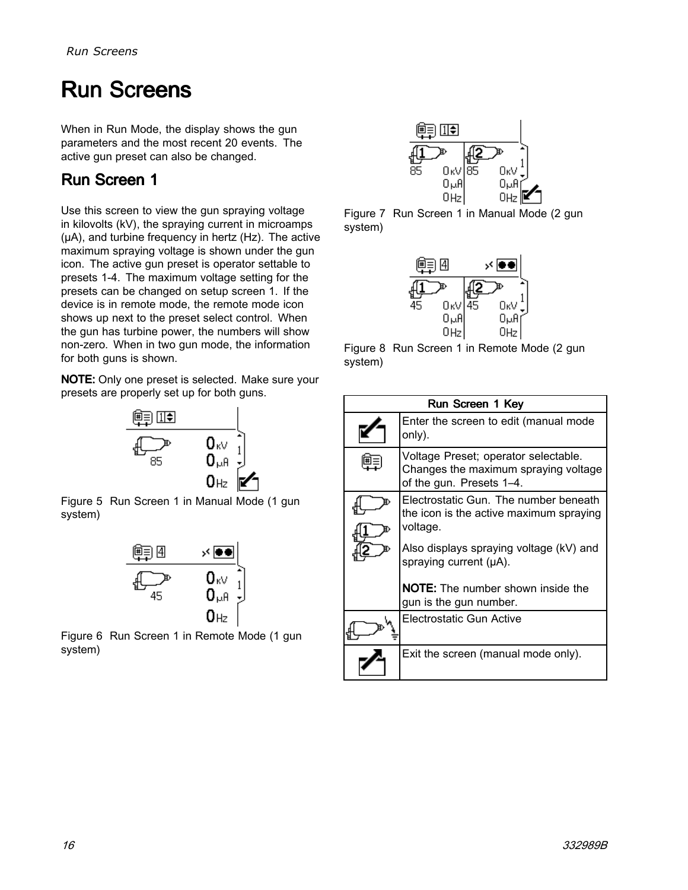## <span id="page-15-0"></span>**Run Screens**

When in Run Mode, the display shows the gun parameters and the most recent <sup>20</sup> events. The active gun preset can also be changed.

### Run Screen 1

Use this screen to view the gun spraying voltage in kilovolts (kV), the spraying current in microamps (µA), and turbine frequency in hertz (Hz). The active maximum spraying voltage is shown under the gun icon. The active gun preset is operator settable to presets 1-4. The maximum voltage setting for the presets can be changed on setup screen 1. If the device is in remote mode, the remote mode icon shows up next to the preset select control. When the gun has turbine power, the numbers will show non-zero. When in two gun mode, the information for both guns is shown.

NOTE: Only one preset is selected. Make sure your presets are properly set up for both guns.



Figure <sup>5</sup> Run Screen <sup>1</sup> in Manual Mode (1 gun system)



Figure <sup>6</sup> Run Screen <sup>1</sup> in Remote Mode (1 gun system)



Figure <sup>7</sup> Run Screen <sup>1</sup> in Manual Mode (2 gun system)



Figure <sup>8</sup> Run Screen <sup>1</sup> in Remote Mode (2 gun system)

| Run Screen 1 Key |                                                                                                                                         |  |  |
|------------------|-----------------------------------------------------------------------------------------------------------------------------------------|--|--|
|                  | Enter the screen to edit (manual mode<br>only).                                                                                         |  |  |
|                  | Voltage Preset; operator selectable.<br>Changes the maximum spraying voltage<br>of the gun. Presets 1-4.                                |  |  |
|                  | Electrostatic Gun. The number beneath<br>the icon is the active maximum spraying<br>voltage.                                            |  |  |
|                  | Also displays spraying voltage (kV) and<br>spraying current (µA).<br><b>NOTE:</b> The number shown inside the<br>gun is the gun number. |  |  |
|                  | Electrostatic Gun Active                                                                                                                |  |  |
|                  | Exit the screen (manual mode only).                                                                                                     |  |  |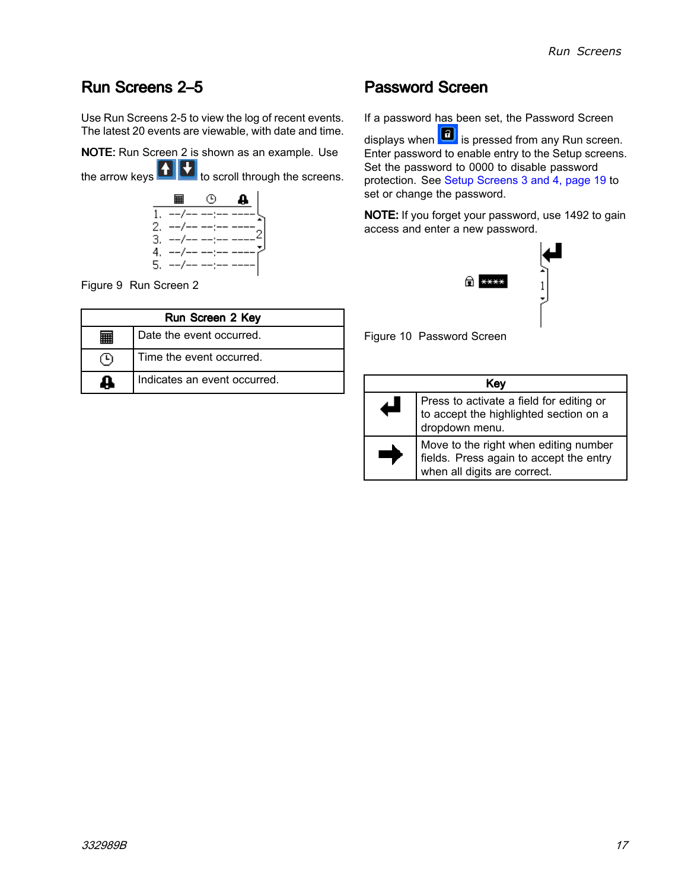#### <span id="page-16-0"></span>Run Screens 2-5

Use Run Screens 2-5 to view the log of recent events. The latest <sup>20</sup> events are viewable, with date and time.

NOTE: Run Screen <sup>2</sup> is shown as an example. Use

the arrow keys  $\blacksquare$  to scroll through the screens.



Figure <sup>9</sup> Run Screen <sup>2</sup>

| Run Screen 2 Key |                              |  |
|------------------|------------------------------|--|
|                  | Date the event occurred.     |  |
|                  | Time the event occurred.     |  |
|                  | Indicates an event occurred. |  |

#### **Password Screen**

If <sup>a</sup> password has been set, the Password Screen

displays when  $\left| \begin{array}{c} \text{f} \\ \text{f} \end{array} \right|$  is pressed from any Run screen. Enter password to enable entry to the Setup screens. Set the password to <sup>0000</sup> to disable password protection. See Setup [Screens](#page-18-0) <sup>3</sup> and 4, page [19](#page-18-0) to set or change the password.

NOTE: If you forget your password, use <sup>1492</sup> to gain access and enter <sup>a</sup> new password.



Figure <sup>10</sup> Password Screen

| Key                                                                                                              |  |  |
|------------------------------------------------------------------------------------------------------------------|--|--|
| Press to activate a field for editing or<br>to accept the highlighted section on a<br>dropdown menu.             |  |  |
| Move to the right when editing number<br>fields. Press again to accept the entry<br>when all digits are correct. |  |  |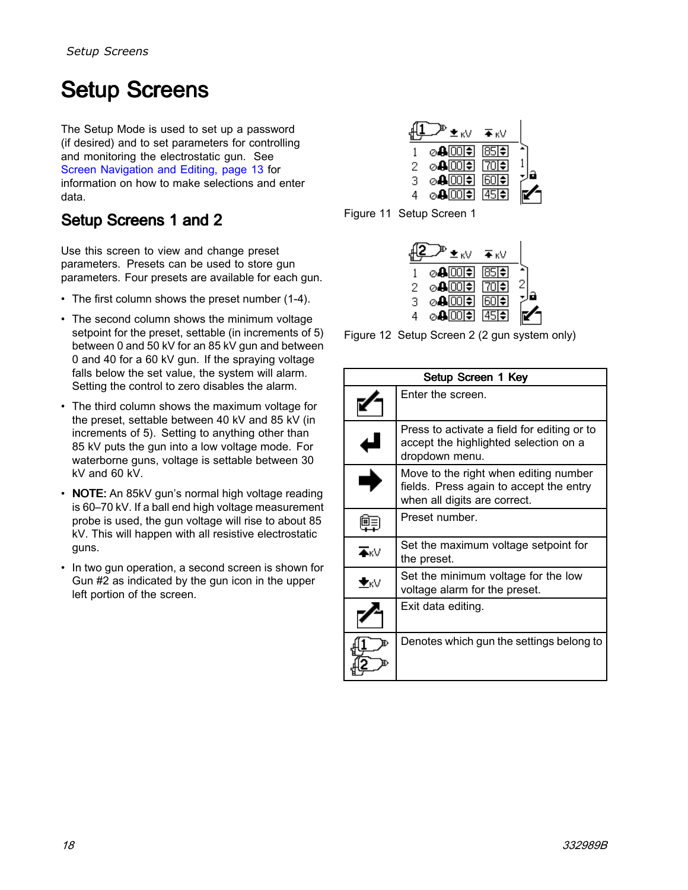# <span id="page-17-0"></span>Setup Screens

The Setup Mode is used to set up <sup>a</sup> password (if desired) and to set parameters for controlling and monitoring the electrostatic gun. See Screen [Navigation](#page-12-0) and Editing, page [13](#page-12-0) for information on how to make selections and enter data.

### Setup Screens 1 and 2

Use this screen to view and change preset parameters. Presets can be used to store gun parameters. Four presets are available for each gun.

- The first column shows the preset number (1-4).
- The second column shows the minimum voltage<br>cotroint for the preset eattable (in increments of setpoint for the preset, settable (in increments of 5) between <sup>0</sup> and <sup>50</sup> kV for an <sup>85</sup> kV gun and between <sup>0</sup> and <sup>40</sup> for <sup>a</sup> <sup>60</sup> kV gun. If the spraying voltage falls below the set value, the system will alarm. Setting the control to zero disables the alarm.
- The third column shows the maximum voltage for the preset, settable between <sup>40</sup> kV and <sup>85</sup> kV (in increments of 5). Setting to anything other than <sup>85</sup> kV puts the gun into <sup>a</sup> low voltage mode. For waterborne guns, voltage is settable between <sup>30</sup> kV and <sup>60</sup> kV.
- **NOTE:** An 85kV gun's normal high voltage reading is 60–70 kV. If <sup>a</sup> ball end high voltage measurement probe is used, the gun voltage will rise to about <sup>85</sup> kV. This will happen with all resistive electrostatic guns.
- In two gun operation, <sup>a</sup> second screen is shown for Gun #2 as indicated by the gun icon in the upper left portion of the screen.

|   | ±kV     | ¥κV                      |  |
|---|---------|--------------------------|--|
|   | ⊘⊕⊡ा≑।  | 857                      |  |
| 2 | ⊘4⊡ा≑।  | ।70ा⊕                    |  |
| з | ⊘⊕⊡िा≑  | $60 \blacktriangleright$ |  |
| 4 | ⊘⊕⊡िा≑। | [45]≑1                   |  |

Figure <sup>11</sup> Setup Screen <sup>1</sup>

|   | ±kV     | ¥κV                      |  |
|---|---------|--------------------------|--|
|   | ⊘4 00 ≑ | 85                       |  |
| 2 | ⊘400⊡   | ।70ा⊕                    |  |
| з | ⊘⊕⊡िा≑  | $60 \blacktriangleright$ |  |
| 4 | ⊘4 00 ≑ | ।45।ਵੈ।                  |  |

Figure <sup>12</sup> Setup Screen <sup>2</sup> (2 gun system only)

| Setup Screen 1 Key      |                                                                                                                  |  |  |
|-------------------------|------------------------------------------------------------------------------------------------------------------|--|--|
|                         | Enter the screen.                                                                                                |  |  |
|                         | Press to activate a field for editing or to<br>accept the highlighted selection on a<br>dropdown menu.           |  |  |
|                         | Move to the right when editing number<br>fields. Press again to accept the entry<br>when all digits are correct. |  |  |
| 匣三                      | Preset number.                                                                                                   |  |  |
| $\overline{\bullet}$ KV | Set the maximum voltage setpoint for<br>the preset.                                                              |  |  |
| ≛κ∀                     | Set the minimum voltage for the low<br>voltage alarm for the preset.                                             |  |  |
|                         | Exit data editing.                                                                                               |  |  |
|                         | Denotes which gun the settings belong to                                                                         |  |  |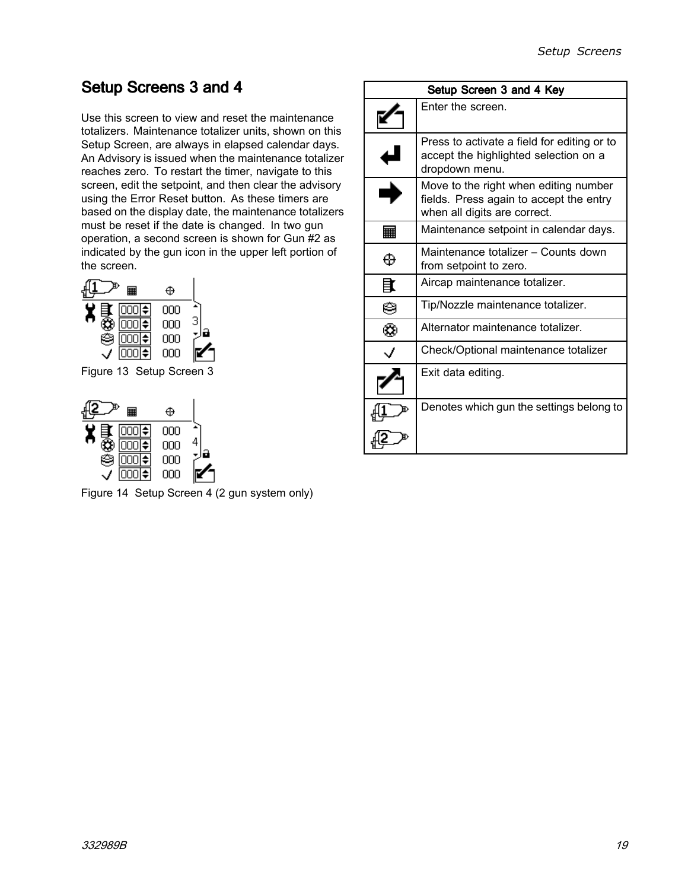### <span id="page-18-0"></span>Setup Screens 3 and 4

Use this screen to view and reset the maintenance totalizers. Maintenance totalizer units, shown on this Setup Screen, are always in elapsed calendar days. An Advisory is issued when the maintenance totalizer reaches zero. To restart the timer, navigate to this screen, edit the setpoint, and then clear the advisory using the Error Reset button. As these timers are based on the display date, the maintenance totalizers must be reset if the date is changed. In two gun operation, <sup>a</sup> second screen is shown for Gun #2 as indicated by the gun icon in the upper left portion of the screen.



Figure <sup>13</sup> Setup Screen <sup>3</sup>



Figure <sup>14</sup> Setup Screen <sup>4</sup> (2 gun system only)

|    | Setup Screen 3 and 4 Key                                                                                         |  |  |
|----|------------------------------------------------------------------------------------------------------------------|--|--|
|    | Enter the screen.                                                                                                |  |  |
|    | Press to activate a field for editing or to<br>accept the highlighted selection on a<br>dropdown menu.           |  |  |
|    | Move to the right when editing number<br>fields. Press again to accept the entry<br>when all digits are correct. |  |  |
| 翩  | Maintenance setpoint in calendar days.                                                                           |  |  |
| ⊕  | Maintenance totalizer – Counts down<br>from setpoint to zero.                                                    |  |  |
| 註  | Aircap maintenance totalizer.                                                                                    |  |  |
| ⊜  | Tip/Nozzle maintenance totalizer.                                                                                |  |  |
| Œ, | Alternator maintenance totalizer.                                                                                |  |  |
|    | Check/Optional maintenance totalizer                                                                             |  |  |
|    | Exit data editing.                                                                                               |  |  |
|    | Denotes which gun the settings belong to                                                                         |  |  |
|    |                                                                                                                  |  |  |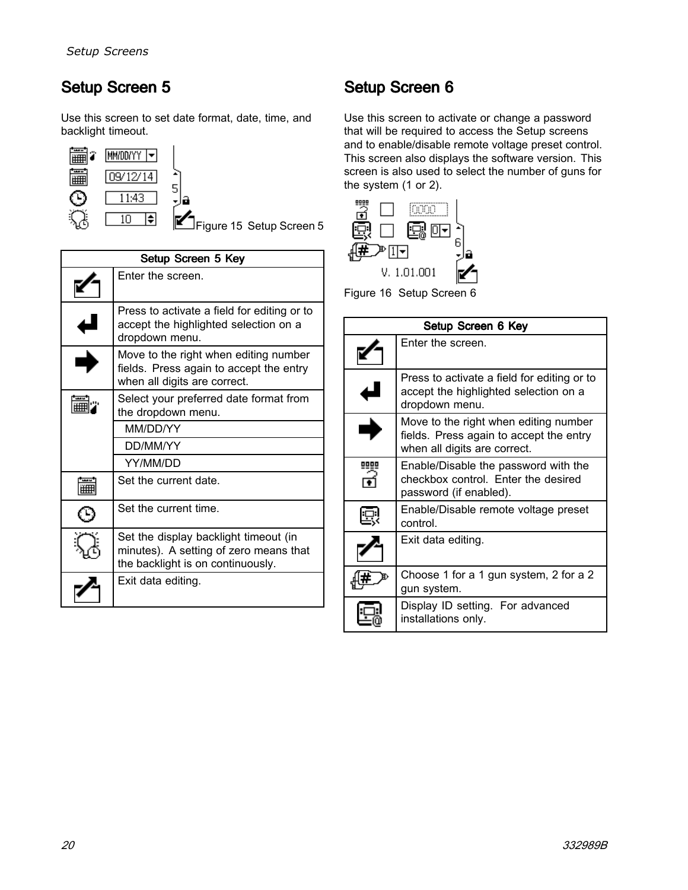### <span id="page-19-0"></span>Setup Screen 5

Use this screen to set date format, date, time, and backlight timeout.



Figure <sup>15</sup> Setup Screen <sup>5</sup>

| Setup Screen 5 Key                                           |                                                                                                                      |  |
|--------------------------------------------------------------|----------------------------------------------------------------------------------------------------------------------|--|
|                                                              | Enter the screen.                                                                                                    |  |
|                                                              | Press to activate a field for editing or to<br>accept the highlighted selection on a<br>dropdown menu.               |  |
|                                                              | Move to the right when editing number<br>fields. Press again to accept the entry<br>when all digits are correct.     |  |
| Select your preferred date format from<br>the dropdown menu. |                                                                                                                      |  |
|                                                              | MM/DD/YY                                                                                                             |  |
|                                                              | DD/MM/YY                                                                                                             |  |
|                                                              | YY/MM/DD                                                                                                             |  |
|                                                              | Set the current date.                                                                                                |  |
|                                                              | Set the current time.                                                                                                |  |
|                                                              | Set the display backlight timeout (in<br>minutes). A setting of zero means that<br>the backlight is on continuously. |  |
|                                                              | Exit data editing.                                                                                                   |  |

### Setup Screen 6

Use this screen to activate or change <sup>a</sup> password that will be required to access the Setup screens and to enable/disable remote voltage preset control. This screen also displays the software version. This screen is also used to select the number of guns for the system  $(1 \text{ or } 2)$ .



Figure <sup>16</sup> Setup Screen <sup>6</sup>

| Setup Screen 6 Key |                                                                                                                  |  |
|--------------------|------------------------------------------------------------------------------------------------------------------|--|
|                    | Enter the screen.                                                                                                |  |
|                    | Press to activate a field for editing or to<br>accept the highlighted selection on a<br>dropdown menu.           |  |
|                    | Move to the right when editing number<br>fields. Press again to accept the entry<br>when all digits are correct. |  |
|                    | Enable/Disable the password with the<br>checkbox control. Enter the desired<br>password (if enabled).            |  |
|                    | Enable/Disable remote voltage preset<br>control.                                                                 |  |
|                    | Exit data editing.                                                                                               |  |
|                    | Choose 1 for a 1 gun system, 2 for a 2<br>gun system.                                                            |  |
|                    | Display ID setting. For advanced<br>installations only.                                                          |  |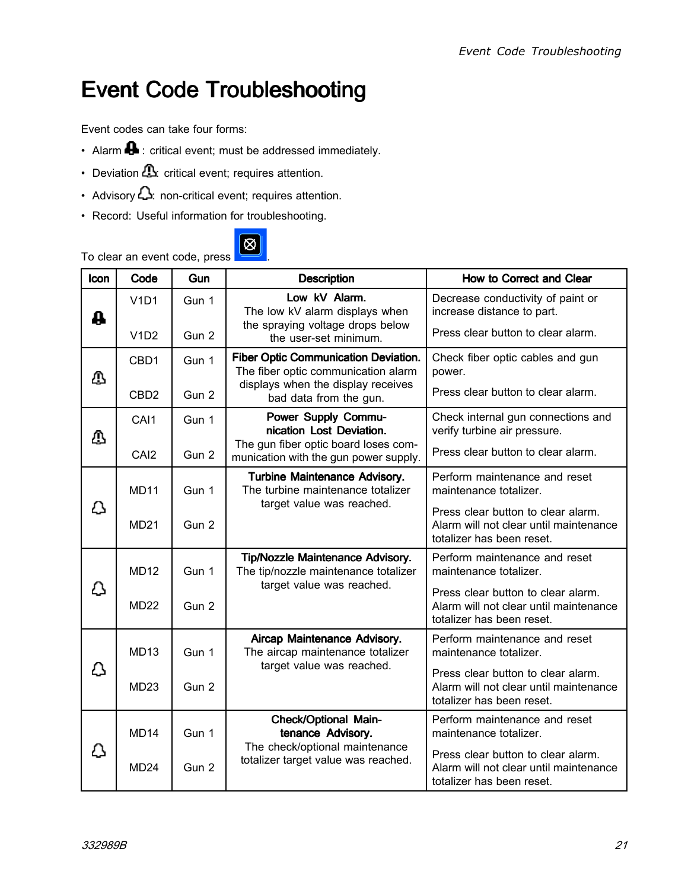## <span id="page-20-0"></span>Event Code Troubleshooting

Event codes can take four forms:

- Alarm  $\blacksquare$  : critical event; must be addressed immediately.
- Deviation  $\Box$ : critical event; requires attention.
- Advisory : non-critical event; requires attention.
- Record: Useful information for troubleshooting.



#### To clear an event code, press .

| Icon      | Code             | Gun   | <b>Description</b>                                                                                     | How to Correct and Clear                                                                                  |
|-----------|------------------|-------|--------------------------------------------------------------------------------------------------------|-----------------------------------------------------------------------------------------------------------|
| ₳         | V1D1             | Gun 1 | Low kV Alarm.<br>The low kV alarm displays when                                                        | Decrease conductivity of paint or<br>increase distance to part.                                           |
|           | V1D2             | Gun 2 | the spraying voltage drops below<br>the user-set minimum.                                              | Press clear button to clear alarm.                                                                        |
| ⚠         | CBD1             | Gun 1 | <b>Fiber Optic Communication Deviation.</b><br>The fiber optic communication alarm                     | Check fiber optic cables and gun<br>power.                                                                |
|           | CBD <sub>2</sub> | Gun 2 | displays when the display receives<br>bad data from the gun.                                           | Press clear button to clear alarm.                                                                        |
| ₾         | CAI1             | Gun 1 | <b>Power Supply Commu-</b><br>nication Lost Deviation.                                                 | Check internal gun connections and<br>verify turbine air pressure.                                        |
|           | CAI <sub>2</sub> | Gun 2 | The gun fiber optic board loses com-<br>munication with the gun power supply.                          | Press clear button to clear alarm.                                                                        |
|           | <b>MD11</b>      | Gun 1 | <b>Turbine Maintenance Advisory.</b><br>The turbine maintenance totalizer<br>target value was reached. | Perform maintenance and reset<br>maintenance totalizer.                                                   |
| Ω         | <b>MD21</b>      | Gun 2 |                                                                                                        | Press clear button to clear alarm.<br>Alarm will not clear until maintenance<br>totalizer has been reset. |
|           | <b>MD12</b>      | Gun 1 | Tip/Nozzle Maintenance Advisory.<br>The tip/nozzle maintenance totalizer                               | Perform maintenance and reset<br>maintenance totalizer.                                                   |
| Δ         | <b>MD22</b>      | Gun 2 | target value was reached.                                                                              | Press clear button to clear alarm.<br>Alarm will not clear until maintenance<br>totalizer has been reset. |
| <u>[]</u> | <b>MD13</b>      | Gun 1 | Aircap Maintenance Advisory.<br>The aircap maintenance totalizer                                       | Perform maintenance and reset<br>maintenance totalizer.                                                   |
|           | <b>MD23</b>      | Gun 2 | target value was reached.                                                                              | Press clear button to clear alarm.<br>Alarm will not clear until maintenance<br>totalizer has been reset. |
| Δ         | <b>MD14</b>      | Gun 1 | <b>Check/Optional Main-</b><br>tenance Advisory.                                                       | Perform maintenance and reset<br>maintenance totalizer.                                                   |
|           | MD <sub>24</sub> | Gun 2 | The check/optional maintenance<br>totalizer target value was reached.                                  | Press clear button to clear alarm.<br>Alarm will not clear until maintenance<br>totalizer has been reset. |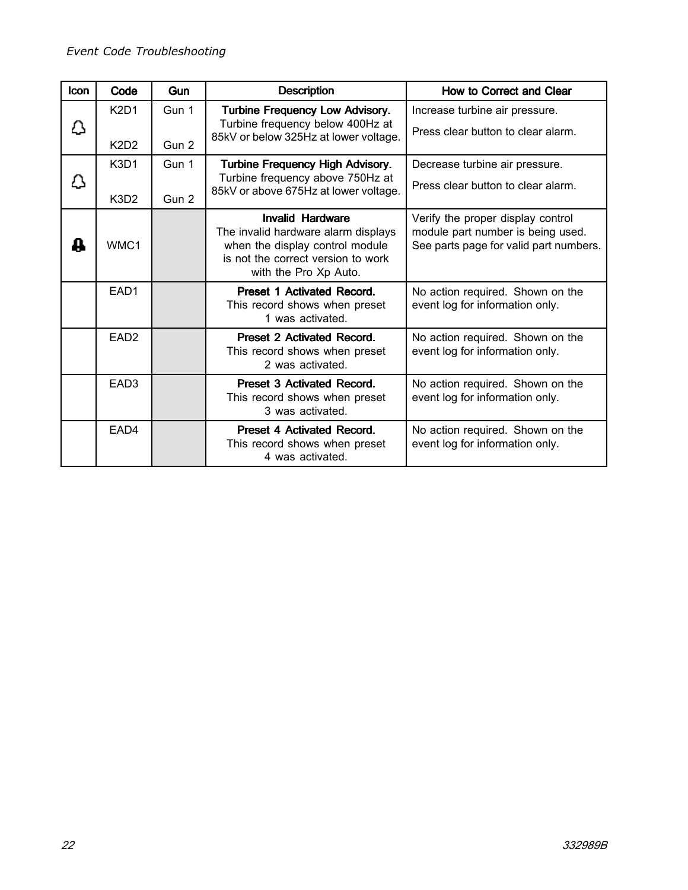| <b>Icon</b> | Code                                         | Gun            | <b>Description</b>                                                                                                                                               | How to Correct and Clear                                                                                         |
|-------------|----------------------------------------------|----------------|------------------------------------------------------------------------------------------------------------------------------------------------------------------|------------------------------------------------------------------------------------------------------------------|
| Ω           | <b>K2D1</b><br>K <sub>2</sub> D <sub>2</sub> | Gun 1<br>Gun 2 | <b>Turbine Frequency Low Advisory.</b><br>Turbine frequency below 400Hz at<br>85kV or below 325Hz at lower voltage.                                              | Increase turbine air pressure.<br>Press clear button to clear alarm.                                             |
| <u> }</u>   | K <sub>3</sub> D <sub>1</sub><br>K3D2        | Gun 1<br>Gun 2 | <b>Turbine Frequency High Advisory.</b><br>Turbine frequency above 750Hz at<br>85kV or above 675Hz at lower voltage.                                             | Decrease turbine air pressure.<br>Press clear button to clear alarm.                                             |
| ┻           | WMC1                                         |                | <b>Invalid Hardware</b><br>The invalid hardware alarm displays<br>when the display control module<br>is not the correct version to work<br>with the Pro Xp Auto. | Verify the proper display control<br>module part number is being used.<br>See parts page for valid part numbers. |
|             | EAD <sub>1</sub>                             |                | <b>Preset 1 Activated Record.</b><br>This record shows when preset<br>1 was activated.                                                                           | No action required. Shown on the<br>event log for information only.                                              |
|             | EAD <sub>2</sub>                             |                | Preset 2 Activated Record.<br>This record shows when preset<br>2 was activated.                                                                                  | No action required. Shown on the<br>event log for information only.                                              |
|             | EAD <sub>3</sub>                             |                | Preset 3 Activated Record.<br>This record shows when preset<br>3 was activated.                                                                                  | No action required. Shown on the<br>event log for information only.                                              |
|             | EAD4                                         |                | Preset 4 Activated Record.<br>This record shows when preset<br>4 was activated.                                                                                  | No action required. Shown on the<br>event log for information only.                                              |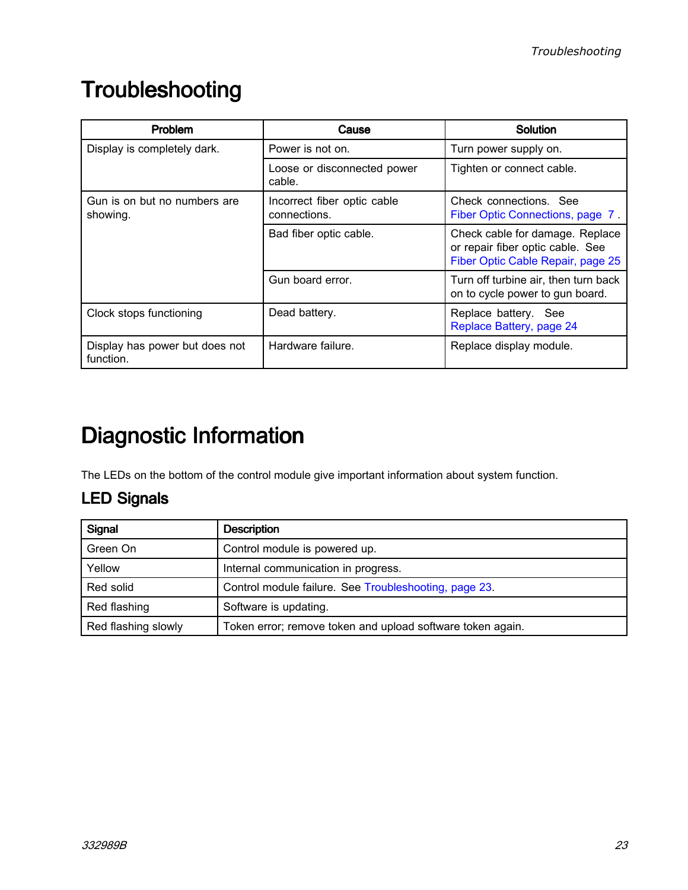## <span id="page-22-0"></span>**Troubleshooting**

| <b>Problem</b>                              | Cause                                       | Solution                                                                                                 |
|---------------------------------------------|---------------------------------------------|----------------------------------------------------------------------------------------------------------|
| Display is completely dark.                 | Power is not on.                            | Turn power supply on.                                                                                    |
|                                             | Loose or disconnected power<br>cable.       | Tighten or connect cable.                                                                                |
| Gun is on but no numbers are<br>showing.    | Incorrect fiber optic cable<br>connections. | Check connections. See<br>Fiber Optic Connections, page 7.                                               |
|                                             | Bad fiber optic cable.                      | Check cable for damage. Replace<br>or repair fiber optic cable. See<br>Fiber Optic Cable Repair, page 25 |
|                                             | Gun board error.                            | Turn off turbine air, then turn back<br>on to cycle power to gun board.                                  |
| Clock stops functioning                     | Dead battery.                               | Replace battery. See<br>Replace Battery, page 24                                                         |
| Display has power but does not<br>function. | Hardware failure.                           | Replace display module.                                                                                  |

# Diagnostic Information

The LEDs on the bottom of the control module give important information about system function.

### **LED Signals**

| Signal              | <b>Description</b>                                         |  |
|---------------------|------------------------------------------------------------|--|
| Green On            | Control module is powered up.                              |  |
| Yellow              | Internal communication in progress.                        |  |
| Red solid           | Control module failure. See Troubleshooting, page 23.      |  |
| Red flashing        | Software is updating.                                      |  |
| Red flashing slowly | Token error; remove token and upload software token again. |  |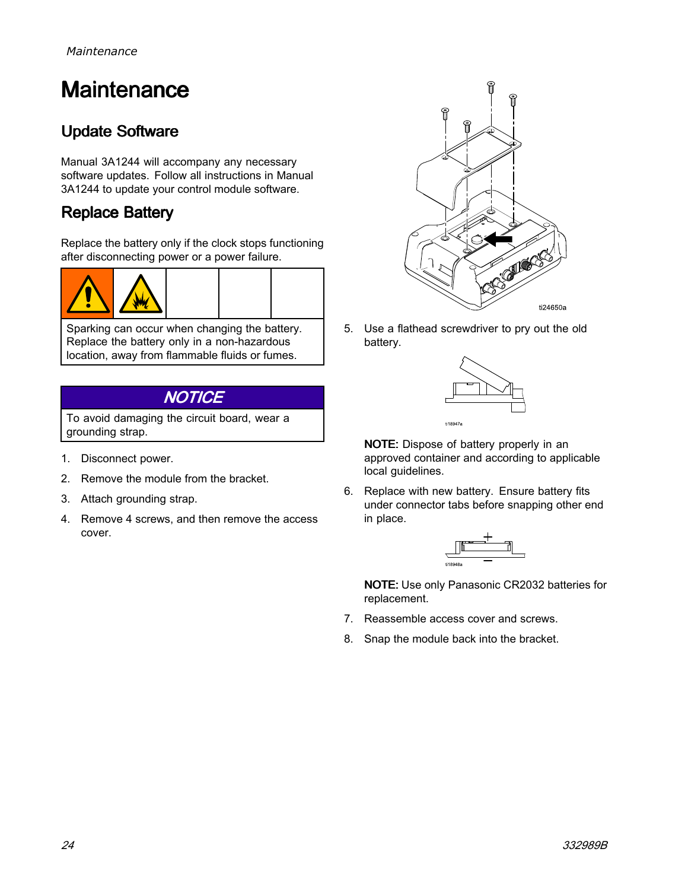## <span id="page-23-0"></span>**Maintenance**

### **Update Software**

Manual 3A1244 will accompany any necessary software updates. Follow all instructions in Manual 3A1244 to update your control module software.

### **Replace Battery**

Replace the battery only if the clock stops functioning after disconnecting power or <sup>a</sup> power failure.





Sparking can occur when changing the battery. Replace the battery only in <sup>a</sup> non-hazardous location, away from flammable fluids or fumes.

### **NOTICE**

To avoid damaging the circuit board, wear <sup>a</sup> grounding strap.

- 1. Disconnect power.
- 2. Remove the module from the bracket.
- 3. Attach grounding strap.
- 4. Remove <sup>4</sup> screws, and then remove the access cover.



5. Use <sup>a</sup> flathead screwdriver to pry out the old battery.



NOTE: Dispose of battery properly in an approved container and according to applicable local guidelines.

6. Replace with new battery. Ensure battery fits under connector tabs before snapping other end in place.



NOTE: Use only Panasonic CR2032 batteries for replacement.

- 7. Reassemble access cover and screws.
- 8. Snap the module back into the bracket.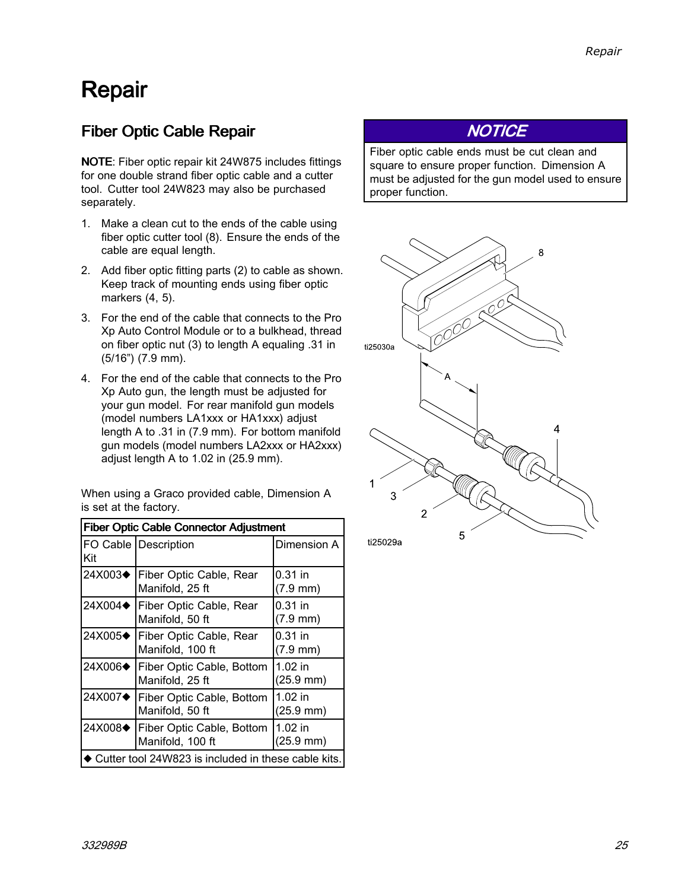## <span id="page-24-0"></span>Repair

### Fiber Optic Cable Repair

NOTE: Fiber optic repair kit 24W875 includes fittings for one double strand fiber optic cable and <sup>a</sup> cutter tool. Cutter tool 24W823 may also be purchased separately.

- 1. Make <sup>a</sup> clean cut to the ends of the cable using fiber optic cutter tool (8). Ensure the ends of the cable are equal length.
- 2. Add fiber optic fitting parts (2) to cable as shown. Keep track of mounting ends using fiber optic markers (4, 5).
- 3. For the end of the cable that connects to the Pro Xp Auto Control Module or to <sup>a</sup> bulkhead, thread on fiber optic nut (3) to length <sup>A</sup> equaling .31 in (5/16") (7.9 mm).
- 4. For the end of the cable that connects to the Pro Xp Auto gun, the length must be adjusted for your gun model. For rear manifold gun models (model numbers LA1xxx or HA1xxx) adjust length <sup>A</sup> to .31 in (7.9 mm). For bottom manifold gun models (model numbers LA2xxx or HA2xxx) adjust length <sup>A</sup> to 1.02 in (25.9 mm).

When using <sup>a</sup> Graco provided cable, Dimension <sup>A</sup> is set at the factory.

| <b>Fiber Optic Cable Connector Adjustment</b>       |                                               |                                   |
|-----------------------------------------------------|-----------------------------------------------|-----------------------------------|
| Kit                                                 | FO Cable Description                          | Dimension A                       |
| 24X003 <b>←</b>                                     | Fiber Optic Cable, Rear<br>Manifold, 25 ft    | $0.31$ in<br>$(7.9 \text{ mm})$   |
| 24X004 <b>→</b>                                     | Fiber Optic Cable, Rear<br>Manifold, 50 ft    | $0.31$ in<br>$(7.9 \, \text{mm})$ |
| 24X005◆                                             | Fiber Optic Cable, Rear<br>Manifold, 100 ft   | $0.31$ in<br>$(7.9 \, \text{mm})$ |
| 24X006 <sup><math>\triangle</math></sup>            | Fiber Optic Cable, Bottom<br>Manifold, 25 ft  | $1.02$ in<br>$(25.9 \text{ mm})$  |
| 24X007 <b>→</b>                                     | Fiber Optic Cable, Bottom<br>Manifold, 50 ft  | $1.02$ in<br>$(25.9 \text{ mm})$  |
| 24X008◆                                             | Fiber Optic Cable, Bottom<br>Manifold, 100 ft | $1.02$ in<br>(25.9 mm)            |
| Cutter tool 24W823 is included in these cable kits. |                                               |                                   |

### **NOTICE**

Fiber optic cable ends must be cut clean and square to ensure proper function. Dimension <sup>A</sup> must be adjusted for the gun model used to ensure proper function.

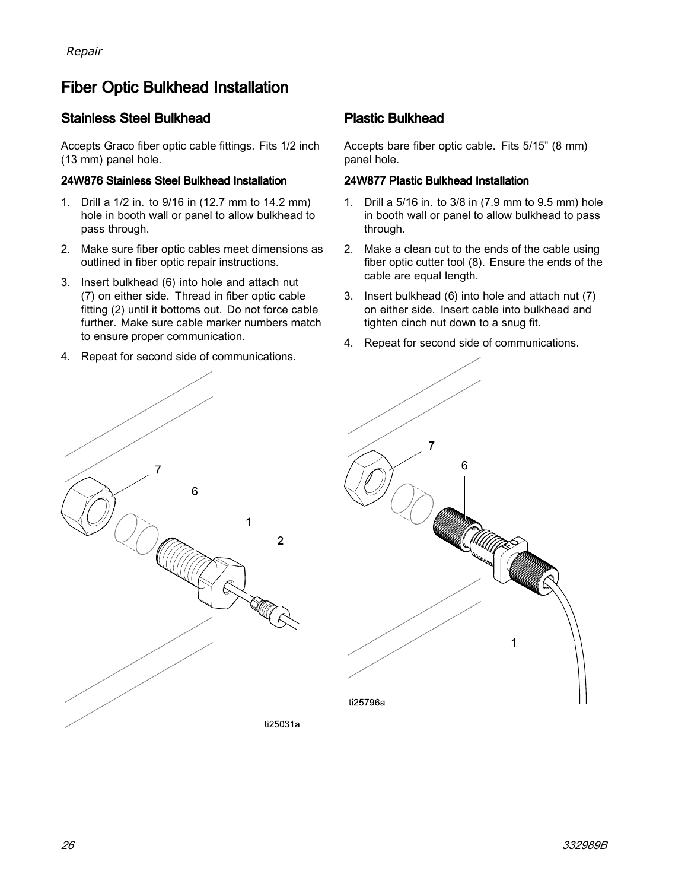### <span id="page-25-0"></span>Fiber Optic Bulkhead Installation

#### Stainless Steel Bulkhead

Accepts Graco fiber optic cable fittings. Fits 1/2 inch (13 mm) panel hole.

#### 24W876 Stainless Steel Bulkhead Installation

- 1. Drill <sup>a</sup> 1/2 in. to 9/16 in (12.7 mm to 14.2 mm) hole in booth wall or panel to allow bulkhead to pass through.
- 2. Make sure fiber optic cables meet dimensions as outlined in fiber optic repair instructions.
- 3. Insert bulkhead (6) into hole and attach nut (7) on either side. Thread in fiber optic cable fitting (2) until it bottoms out. Do not force cable further. Make sure cable marker numbers match to ensure proper communication.
- 4. Repeat for second side of communications.

#### **Plastic Bulkhead**

Accepts bare fiber optic cable. Fits 5/15" (8 mm) panel hole.

#### 24W877 Plastic Bulkhead Installation

- 1. Drill <sup>a</sup> 5/16 in. to 3/8 in (7.9 mm to 9.5 mm) hole in booth wall or panel to allow bulkhead to pass through.
- 2. Make <sup>a</sup> clean cut to the ends of the cable using fiber optic cutter tool (8). Ensure the ends of the cable are equal length.
- 3. Insert bulkhead (6) into hole and attach nut (7) on either side. Insert cable into bulkhead and tighten cinch nut down to <sup>a</sup> snug fit.
- 4. Repeat for second side of communications.



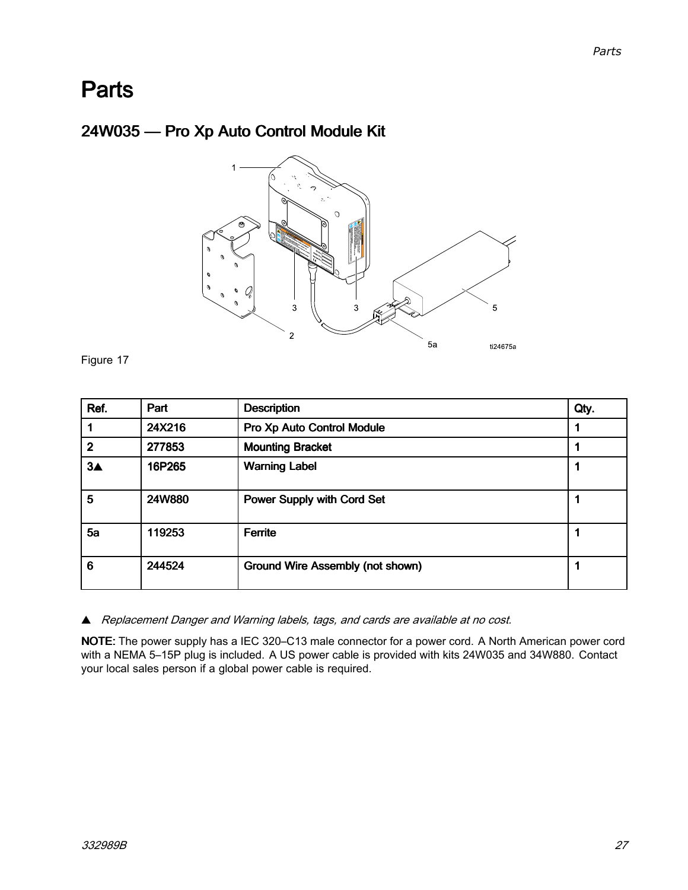### <span id="page-26-0"></span>**Parts**

### 24W035 - Pro Xp Auto Control Module Kit



Figure <sup>17</sup>

| Ref.              | Part   | <b>Description</b>                      | Qty. |
|-------------------|--------|-----------------------------------------|------|
|                   | 24X216 | Pro Xp Auto Control Module              |      |
| $\mathbf{2}$      | 277853 | <b>Mounting Bracket</b>                 |      |
| $3\blacktriangle$ | 16P265 | <b>Warning Label</b>                    |      |
| 5                 | 24W880 | <b>Power Supply with Cord Set</b>       |      |
| 5a                | 119253 | <b>Ferrite</b>                          |      |
| 6                 | 244524 | <b>Ground Wire Assembly (not shown)</b> |      |

� Replacement Danger and Warning labels, tags, and cards are available at no cost.

NOTE: The power supply has <sup>a</sup> IEC 320–C13 male connector for <sup>a</sup> power cord. <sup>A</sup> North American power cord with <sup>a</sup> NEMA 5–15P plug is included. <sup>A</sup> US power cable is provided with kits 24W035 and 34W880. Contact your local sales person if <sup>a</sup> global power cable is required.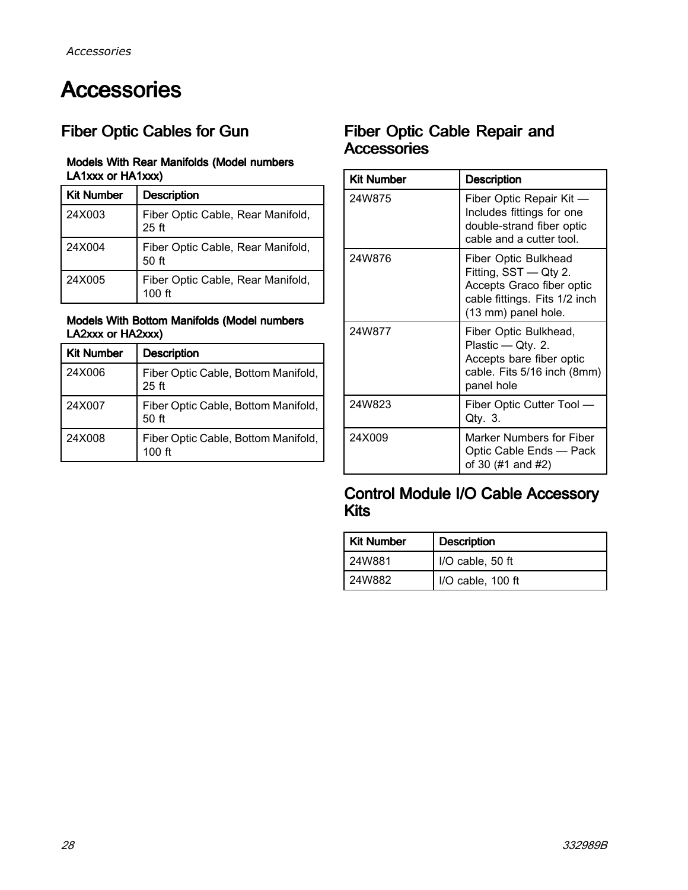## <span id="page-27-0"></span>**Accessories**

### Fiber Optic Cables for Gun

#### Models With Rear Manifolds (Model numbers LA1xxx or HA1xxx)

| <b>Kit Number</b> | <b>Description</b>                                    |
|-------------------|-------------------------------------------------------|
| 24X003            | Fiber Optic Cable, Rear Manifold,<br>$25$ ft          |
| 24X004            | Fiber Optic Cable, Rear Manifold,<br>50 <sub>ft</sub> |
| 24X005            | Fiber Optic Cable, Rear Manifold,<br>100 ft           |

#### Models With Bottom Manifolds (Model numbers LA2xxx or HA2xxx)

| <b>Kit Number</b> | <b>Description</b>                                      |
|-------------------|---------------------------------------------------------|
| 24X006            | Fiber Optic Cable, Bottom Manifold,<br>25 <sub>ft</sub> |
| 24X007            | Fiber Optic Cable, Bottom Manifold,<br>50 ft            |
| 24X008            | Fiber Optic Cable, Bottom Manifold,<br>$100$ ft         |

### Fiber Optic Cable Repair and Accessories

| <b>Kit Number</b> | <b>Description</b>                                                                                                                 |
|-------------------|------------------------------------------------------------------------------------------------------------------------------------|
| 24W875            | Fiber Optic Repair Kit -<br>Includes fittings for one<br>double-strand fiber optic<br>cable and a cutter tool.                     |
| 24W876            | Fiber Optic Bulkhead<br>Fitting, SST - Qty 2.<br>Accepts Graco fiber optic<br>cable fittings. Fits 1/2 inch<br>(13 mm) panel hole. |
| 24W877            | Fiber Optic Bulkhead,<br>Plastic — Qty. 2.<br>Accepts bare fiber optic<br>cable. Fits 5/16 inch (8mm)<br>panel hole                |
| 24W823            | Fiber Optic Cutter Tool —<br>Qty. 3.                                                                                               |
| 24X009            | Marker Numbers for Fiber<br>Optic Cable Ends - Pack<br>of 30 (#1 and #2)                                                           |

#### Control Module I/O Cable Accessory Kits

| Kit Number | <b>Description</b> |
|------------|--------------------|
| l 24W881   | I/O cable, 50 ft   |
| l 24W882   | I/O cable, 100 ft  |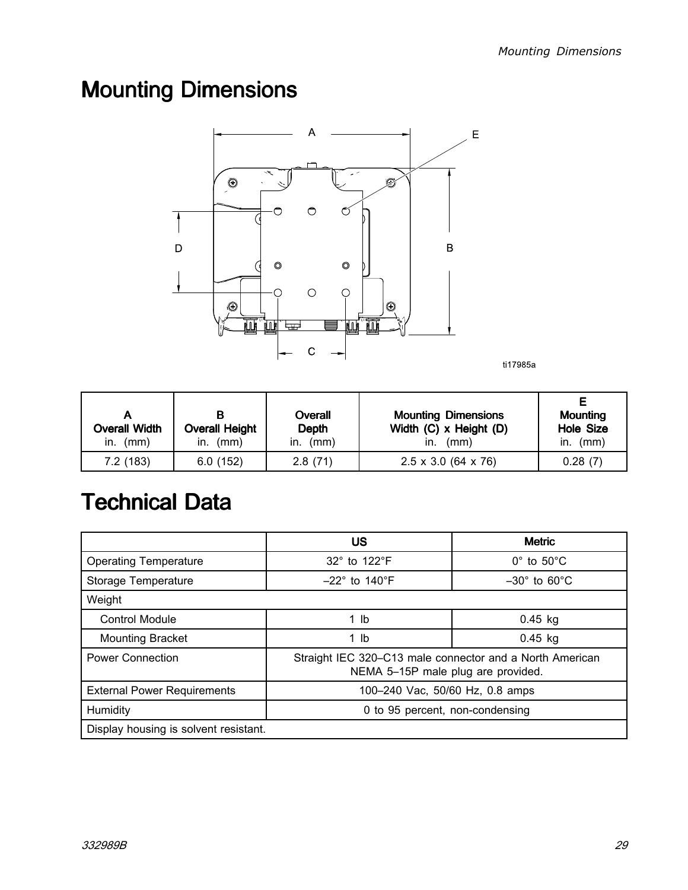# <span id="page-28-0"></span>**Mounting Dimensions**



ti17985a

| <b>Overall Width</b><br>in. $(mm)$ | <b>Overall Height</b><br>(mm)<br>in. | Overall<br>Depth<br>in. $(mm)$ | <b>Mounting Dimensions</b><br>Width (C) x Height (D)<br>(mm)<br>In. | <b>Mounting</b><br><b>Hole Size</b><br>(mm)<br>In. |
|------------------------------------|--------------------------------------|--------------------------------|---------------------------------------------------------------------|----------------------------------------------------|
| 7.2(183)                           | 6.0(152)                             | 2.8(71)                        | $2.5 \times 3.0$ (64 x 76)                                          | 0.28(7)                                            |

## **Technical Data**

|                                       | US                                                                                             | <b>Metric</b>                  |  |
|---------------------------------------|------------------------------------------------------------------------------------------------|--------------------------------|--|
| <b>Operating Temperature</b>          | 32° to 122°F                                                                                   | $0^\circ$ to $50^\circ$ C      |  |
| Storage Temperature                   | $-22^\circ$ to 140 $^\circ$ F                                                                  | $-30^\circ$ to 60 $^{\circ}$ C |  |
| Weight                                |                                                                                                |                                |  |
| <b>Control Module</b>                 | 1 lb                                                                                           | $0.45$ kg                      |  |
| <b>Mounting Bracket</b>               | 1 <sub>lb</sub>                                                                                | $0.45$ kg                      |  |
| <b>Power Connection</b>               | Straight IEC 320-C13 male connector and a North American<br>NEMA 5-15P male plug are provided. |                                |  |
| <b>External Power Requirements</b>    | 100-240 Vac, 50/60 Hz, 0.8 amps                                                                |                                |  |
| Humidity                              | 0 to 95 percent, non-condensing                                                                |                                |  |
| Display housing is solvent resistant. |                                                                                                |                                |  |